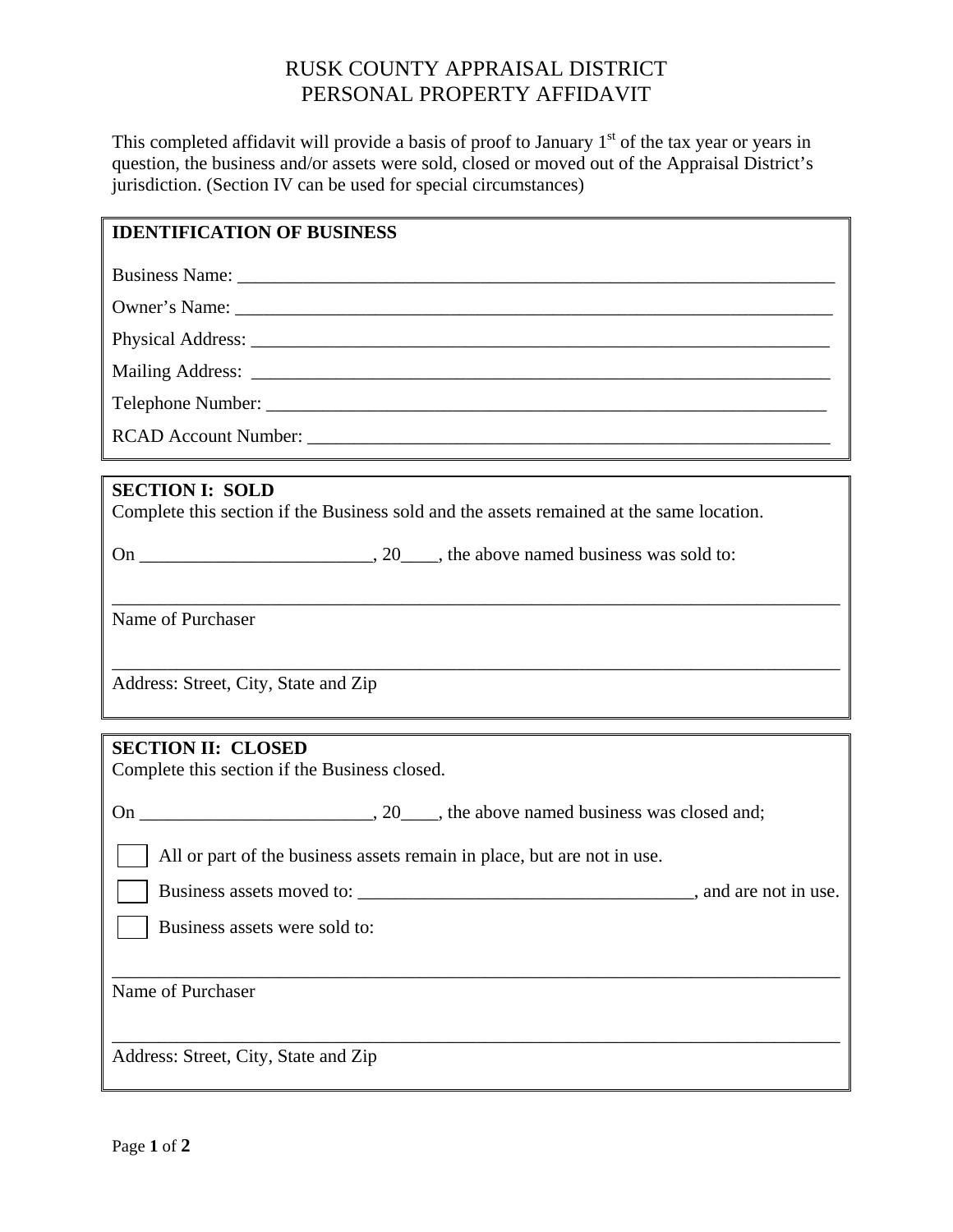# RUSK COUNTY APPRAISAL DISTRICT PERSONAL PROPERTY AFFIDAVIT

This completed affidavit will provide a basis of proof to January  $1<sup>st</sup>$  of the tax year or years in question, the business and/or assets were sold, closed or moved out of the Appraisal District's jurisdiction. (Section IV can be used for special circumstances)

#### **IDENTIFICATION OF BUSINESS**

Business Name:

Owner's Name:

Physical Address:

Mailing Address: \_\_\_\_\_\_\_\_\_\_\_\_\_\_\_\_\_\_\_\_\_\_\_\_\_\_\_\_\_\_\_\_\_\_\_\_\_\_\_\_\_\_\_\_\_\_\_\_\_\_\_\_\_\_\_\_\_\_\_\_\_\_

Telephone Number:

RCAD Account Number:

#### **SECTION I: SOLD**

Complete this section if the Business sold and the assets remained at the same location.

\_\_\_\_\_\_\_\_\_\_\_\_\_\_\_\_\_\_\_\_\_\_\_\_\_\_\_\_\_\_\_\_\_\_\_\_\_\_\_\_\_\_\_\_\_\_\_\_\_\_\_\_\_\_\_\_\_\_\_\_\_\_\_\_\_\_\_\_\_\_\_\_\_\_\_\_\_\_

\_\_\_\_\_\_\_\_\_\_\_\_\_\_\_\_\_\_\_\_\_\_\_\_\_\_\_\_\_\_\_\_\_\_\_\_\_\_\_\_\_\_\_\_\_\_\_\_\_\_\_\_\_\_\_\_\_\_\_\_\_\_\_\_\_\_\_\_\_\_\_\_\_\_\_\_\_\_

On  $\frac{1}{\sqrt{2}}$ , 20, the above named business was sold to:

Name of Purchaser

Address: Street, City, State and Zip

### **SECTION II: CLOSED**

Complete this section if the Business closed.

On \_\_\_\_\_\_\_\_\_\_\_\_\_\_\_\_\_\_\_\_\_\_, 20\_\_\_\_, the above named business was closed and;

All or part of the business assets remain in place, but are not in use.

Business assets moved to:  $\Box$  and are not in use.

\_\_\_\_\_\_\_\_\_\_\_\_\_\_\_\_\_\_\_\_\_\_\_\_\_\_\_\_\_\_\_\_\_\_\_\_\_\_\_\_\_\_\_\_\_\_\_\_\_\_\_\_\_\_\_\_\_\_\_\_\_\_\_\_\_\_\_\_\_\_\_\_\_\_\_\_\_\_

\_\_\_\_\_\_\_\_\_\_\_\_\_\_\_\_\_\_\_\_\_\_\_\_\_\_\_\_\_\_\_\_\_\_\_\_\_\_\_\_\_\_\_\_\_\_\_\_\_\_\_\_\_\_\_\_\_\_\_\_\_\_\_\_\_\_\_\_\_\_\_\_\_\_\_\_\_\_

Business assets were sold to:

Name of Purchaser

Address: Street, City, State and Zip